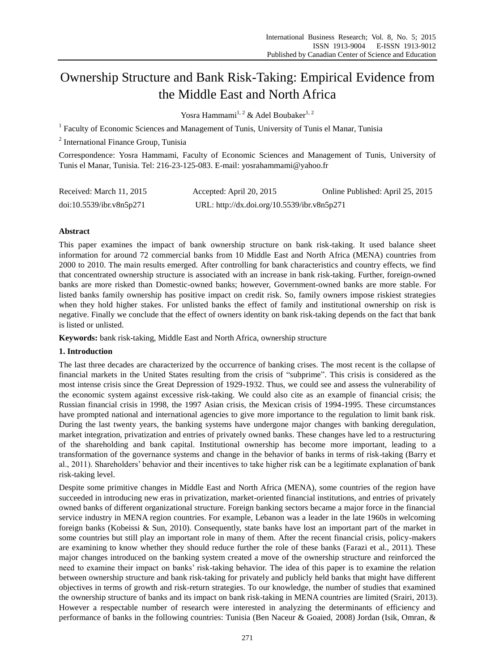# Ownership Structure and Bank Risk-Taking: Empirical Evidence from the Middle East and North Africa

Yosra Hammami<sup>1, 2</sup> & Adel Boubaker<sup>1, 2</sup>

<sup>1</sup> Faculty of Economic Sciences and Management of Tunis, University of Tunis el Manar, Tunisia

<sup>2</sup> International Finance Group, Tunisia

Correspondence: Yosra Hammami, Faculty of Economic Sciences and Management of Tunis, University of Tunis el Manar, Tunisia. Tel: 216-23-125-083. E-mail: yosrahammami@yahoo.fr

| Received: March 11, 2015 | Accepted: April 20, 2015                    | Online Published: April 25, 2015 |
|--------------------------|---------------------------------------------|----------------------------------|
| doi:10.5539/ibr.v8n5p271 | URL: http://dx.doi.org/10.5539/ibr.v8n5p271 |                                  |

# **Abstract**

This paper examines the impact of bank ownership structure on bank risk-taking. It used balance sheet information for around 72 commercial banks from 10 Middle East and North Africa (MENA) countries from 2000 to 2010. The main results emerged. After controlling for bank characteristics and country effects, we find that concentrated ownership structure is associated with an increase in bank risk-taking. Further, foreign-owned banks are more risked than Domestic-owned banks; however, Government-owned banks are more stable. For listed banks family ownership has positive impact on credit risk. So, family owners impose riskiest strategies when they hold higher stakes. For unlisted banks the effect of family and institutional ownership on risk is negative. Finally we conclude that the effect of owners identity on bank risk-taking depends on the fact that bank is listed or unlisted.

**Keywords:** bank risk-taking, Middle East and North Africa, ownership structure

# **1. Introduction**

The last three decades are characterized by the occurrence of banking crises. The most recent is the collapse of financial markets in the United States resulting from the crisis of "subprime". This crisis is considered as the most intense crisis since the Great Depression of 1929-1932. Thus, we could see and assess the vulnerability of the economic system against excessive risk-taking. We could also cite as an example of financial crisis; the Russian financial crisis in 1998, the 1997 Asian crisis, the Mexican crisis of 1994-1995. These circumstances have prompted national and international agencies to give more importance to the regulation to limit bank risk. During the last twenty years, the banking systems have undergone major changes with banking deregulation, market integration, privatization and entries of privately owned banks. These changes have led to a restructuring of the shareholding and bank capital. Institutional ownership has become more important, leading to a transformation of the governance systems and change in the behavior of banks in terms of risk-taking (Barry et al., 2011). Shareholders' behavior and their incentives to take higher risk can be a legitimate explanation of bank risk-taking level.

Despite some primitive changes in Middle East and North Africa (MENA), some countries of the region have succeeded in introducing new eras in privatization, market-oriented financial institutions, and entries of privately owned banks of different organizational structure. Foreign banking sectors became a major force in the financial service industry in MENA region countries. For example, Lebanon was a leader in the late 1960s in welcoming foreign banks (Kobeissi & Sun, 2010). Consequently, state banks have lost an important part of the market in some countries but still play an important role in many of them. After the recent financial crisis, policy-makers are examining to know whether they should reduce further the role of these banks (Farazi et al., 2011). These major changes introduced on the banking system created a move of the ownership structure and reinforced the need to examine their impact on banks' risk-taking behavior. The idea of this paper is to examine the relation between ownership structure and bank risk-taking for privately and publicly held banks that might have different objectives in terms of growth and risk-return strategies. To our knowledge, the number of studies that examined the ownership structure of banks and its impact on bank risk-taking in MENA countries are limited (Srairi, 2013). However a respectable number of research were interested in analyzing the determinants of efficiency and performance of banks in the following countries: Tunisia (Ben Naceur & Goaied, 2008) Jordan (Isik, Omran, &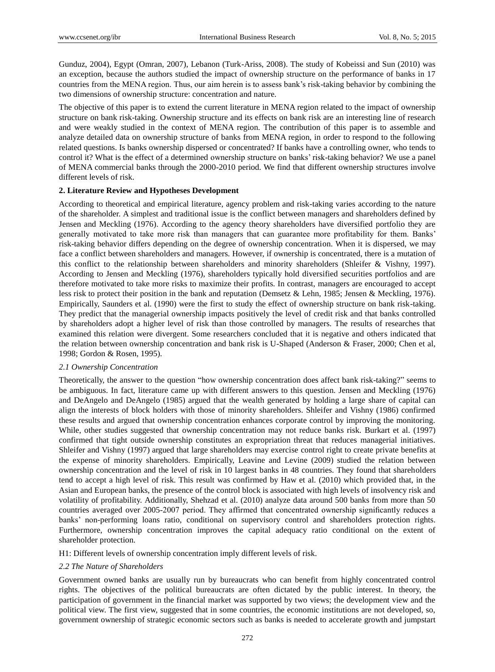Gunduz, 2004), Egypt (Omran, 2007), Lebanon (Turk-Ariss, 2008). The study of Kobeissi and Sun (2010) was an exception, because the authors studied the impact of ownership structure on the performance of banks in 17 countries from the MENA region. Thus, our aim herein is to assess bank's risk-taking behavior by combining the two dimensions of ownership structure: concentration and nature.

The objective of this paper is to extend the current literature in MENA region related to the impact of ownership structure on bank risk-taking. Ownership structure and its effects on bank risk are an interesting line of research and were weakly studied in the context of MENA region. The contribution of this paper is to assemble and analyze detailed data on ownership structure of banks from MENA region, in order to respond to the following related questions. Is banks ownership dispersed or concentrated? If banks have a controlling owner, who tends to control it? What is the effect of a determined ownership structure on banks' risk-taking behavior? We use a panel of MENA commercial banks through the 2000-2010 period. We find that different ownership structures involve different levels of risk.

#### **2. Literature Review and Hypotheses Development**

According to theoretical and empirical literature, agency problem and risk-taking varies according to the nature of the shareholder. A simplest and traditional issue is the conflict between managers and shareholders defined by Jensen and Meckling (1976). According to the agency theory shareholders have diversified portfolio they are generally motivated to take more risk than managers that can guarantee more profitability for them. Banks' risk-taking behavior differs depending on the degree of ownership concentration. When it is dispersed, we may face a conflict between shareholders and managers. However, if ownership is concentrated, there is a mutation of this conflict to the relationship between shareholders and minority shareholders (Shleifer & Vishny, 1997). According to Jensen and Meckling (1976), shareholders typically hold diversified securities portfolios and are therefore motivated to take more risks to maximize their profits. In contrast, managers are encouraged to accept less risk to protect their position in the bank and reputation (Demsetz & Lehn, 1985; Jensen & Meckling, 1976). Empirically, Saunders et al. (1990) were the first to study the effect of ownership structure on bank risk-taking. They predict that the managerial ownership impacts positively the level of credit risk and that banks controlled by shareholders adopt a higher level of risk than those controlled by managers. The results of researches that examined this relation were divergent. Some researchers concluded that it is negative and others indicated that the relation between ownership concentration and bank risk is U-Shaped (Anderson & Fraser, 2000; Chen et al, 1998; Gordon & Rosen, 1995).

#### *2.1 Ownership Concentration*

Theoretically, the answer to the question "how ownership concentration does affect bank risk-taking?" seems to be ambiguous. In fact, literature came up with different answers to this question. Jensen and Meckling (1976) and DeAngelo and DeAngelo (1985) argued that the wealth generated by holding a large share of capital can align the interests of block holders with those of minority shareholders. Shleifer and Vishny (1986) confirmed these results and argued that ownership concentration enhances corporate control by improving the monitoring. While, other studies suggested that ownership concentration may not reduce banks risk. Burkart et al. (1997) confirmed that tight outside ownership constitutes an expropriation threat that reduces managerial initiatives. Shleifer and Vishny (1997) argued that large shareholders may exercise control right to create private benefits at the expense of minority shareholders. Empirically, Leavine and Levine (2009) studied the relation between ownership concentration and the level of risk in 10 largest banks in 48 countries. They found that shareholders tend to accept a high level of risk. This result was confirmed by Haw et al. (2010) which provided that, in the Asian and European banks, the presence of the control block is associated with high levels of insolvency risk and volatility of profitability. Additionally, Shehzad et al. (2010) analyze data around 500 banks from more than 50 countries averaged over 2005-2007 period. They affirmed that concentrated ownership significantly reduces a banks' non-performing loans ratio, conditional on supervisory control and shareholders protection rights. Furthermore, ownership concentration improves the capital adequacy ratio conditional on the extent of shareholder protection.

H1: Different levels of ownership concentration imply different levels of risk.

#### *2.2 The Nature of Shareholders*

Government owned banks are usually run by bureaucrats who can benefit from highly concentrated control rights. The objectives of the political bureaucrats are often dictated by the public interest. In theory, the participation of government in the financial market was supported by two views; the development view and the political view. The first view, suggested that in some countries, the economic institutions are not developed, so, government ownership of strategic economic sectors such as banks is needed to accelerate growth and jumpstart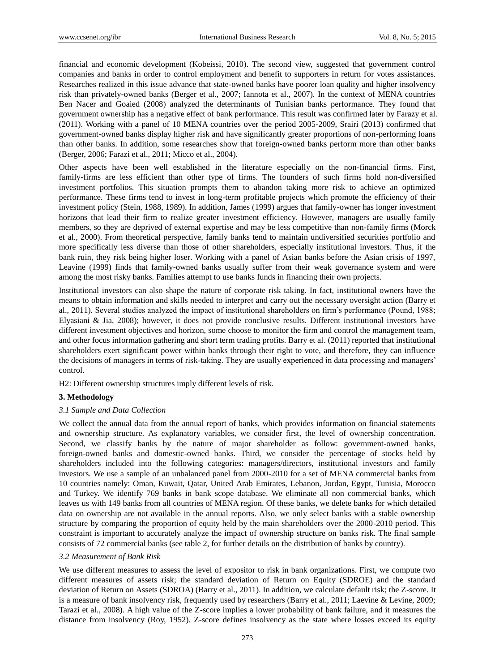financial and economic development (Kobeissi, 2010). The second view, suggested that government control companies and banks in order to control employment and benefit to supporters in return for votes assistances. Researches realized in this issue advance that state-owned banks have poorer loan quality and higher insolvency risk than privately-owned banks (Berger et al., 2007; Iannota et al., 2007). In the context of MENA countries Ben Nacer and Goaied (2008) analyzed the determinants of Tunisian banks performance. They found that government ownership has a negative effect of bank performance. This result was confirmed later by Farazy et al. (2011). Working with a panel of 10 MENA countries over the period 2005-2009, Srairi (2013) confirmed that government-owned banks display higher risk and have significantly greater proportions of non-performing loans than other banks. In addition, some researches show that foreign-owned banks perform more than other banks (Berger, 2006; Farazi et al., 2011; Micco et al., 2004).

Other aspects have been well established in the literature especially on the non-financial firms. First, family-firms are less efficient than other type of firms. The founders of such firms hold non-diversified investment portfolios. This situation prompts them to abandon taking more risk to achieve an optimized performance. These firms tend to invest in long-term profitable projects which promote the efficiency of their investment policy (Stein, 1988, 1989). In addition, James (1999) argues that family-owner has longer investment horizons that lead their firm to realize greater investment efficiency. However, managers are usually family members, so they are deprived of external expertise and may be less competitive than non-family firms (Morck et al., 2000). From theoretical perspective, family banks tend to maintain undiversified securities portfolio and more specifically less diverse than those of other shareholders, especially institutional investors. Thus, if the bank ruin, they risk being higher loser. Working with a panel of Asian banks before the Asian crisis of 1997, Leavine (1999) finds that family-owned banks usually suffer from their weak governance system and were among the most risky banks. Families attempt to use banks funds in financing their own projects.

Institutional investors can also shape the nature of corporate risk taking. In fact, institutional owners have the means to obtain information and skills needed to interpret and carry out the necessary oversight action (Barry et al., 2011). Several studies analyzed the impact of institutional shareholders on firm's performance (Pound, 1988; Elyasiani & Jia, 2008); however, it does not provide conclusive results. Different institutional investors have different investment objectives and horizon, some choose to monitor the firm and control the management team, and other focus information gathering and short term trading profits. Barry et al. (2011) reported that institutional shareholders exert significant power within banks through their right to vote, and therefore, they can influence the decisions of managers in terms of risk-taking. They are usually experienced in data processing and managers' control.

H2: Different ownership structures imply different levels of risk.

# **3. Methodology**

# *3.1 Sample and Data Collection*

We collect the annual data from the annual report of banks, which provides information on financial statements and ownership structure. As explanatory variables, we consider first, the level of ownership concentration. Second, we classify banks by the nature of major shareholder as follow: government-owned banks, foreign-owned banks and domestic-owned banks. Third, we consider the percentage of stocks held by shareholders included into the following categories: managers/directors, institutional investors and family investors. We use a sample of an unbalanced panel from 2000-2010 for a set of MENA commercial banks from 10 countries namely: Oman, Kuwait, Qatar, United Arab Emirates, Lebanon, Jordan, Egypt, Tunisia, Morocco and Turkey. We identify 769 banks in bank scope database. We eliminate all non commercial banks, which leaves us with 149 banks from all countries of MENA region. Of these banks, we delete banks for which detailed data on ownership are not available in the annual reports. Also, we only select banks with a stable ownership structure by comparing the proportion of equity held by the main shareholders over the 2000-2010 period. This constraint is important to accurately analyze the impact of ownership structure on banks risk. The final sample consists of 72 commercial banks (see table 2, for further details on the distribution of banks by country).

# *3.2 Measurement of Bank Risk*

We use different measures to assess the level of expositor to risk in bank organizations. First, we compute two different measures of assets risk; the standard deviation of Return on Equity (SDROE) and the standard deviation of Return on Assets (SDROA) (Barry et al., 2011). In addition, we calculate default risk; the Z-score. It is a measure of bank insolvency risk, frequently used by researchers (Barry et al., 2011; Laevine & Levine, 2009; Tarazi et al., 2008). A high value of the Z-score implies a lower probability of bank failure, and it measures the distance from insolvency (Roy, 1952). Z-score defines insolvency as the state where losses exceed its equity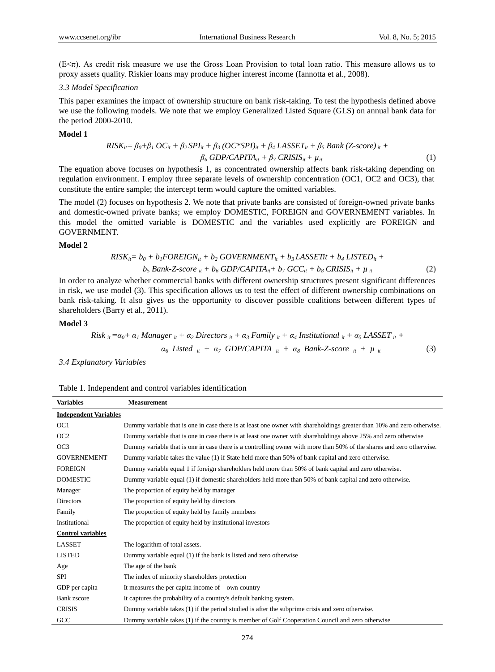(E<π). As credit risk measure we use the Gross Loan Provision to total loan ratio. This measure allows us to proxy assets quality. Riskier loans may produce higher interest income (Iannotta et al., 2008).

#### *3.3 Model Specification*

This paper examines the impact of ownership structure on bank risk-taking. To test the hypothesis defined above we use the following models. We note that we employ Generalized Listed Square (GLS) on annual bank data for the period 2000-2010.

#### **Model 1**

$$
RISK_{it} = \beta_0 + \beta_1 OC_{it} + \beta_2 SPI_{it} + \beta_3 (OC*SPI)_{it} + \beta_4 LASSET_{it} + \beta_5 Bank (Z-score)_{it} + \beta_6 GDP/CAPITA_{it} + \beta_7 CRISIS_{it} + \mu_{it}
$$
\n(1)

The equation above focuses on hypothesis 1, as concentrated ownership affects bank risk-taking depending on regulation environment. I employ three separate levels of ownership concentration (OC1, OC2 and OC3), that constitute the entire sample; the intercept term would capture the omitted variables.

The model (2) focuses on hypothesis 2. We note that private banks are consisted of foreign-owned private banks and domestic-owned private banks; we employ DOMESTIC, FOREIGN and GOVERNEMENT variables. In this model the omitted variable is DOMESTIC and the variables used explicitly are FOREIGN and GOVERNMENT.

#### **Model 2**

$$
RISK_{ii} = b_0 + b_1 FOREIGN_{ii} + b_2 GOVERNMENT_{ii} + b_3 LASSETit + b_4 LISTED_{ii} + b_5 Bank-Z-score_{ii} + b_6 GDP/CAPITA_{ii} + b_7 GCC_{ii} + b_8 CRISSi + \mu_{ii}
$$
\n(2)

In order to analyze whether commercial banks with different ownership structures present significant differences in risk, we use model (3). This specification allows us to test the effect of different ownership combinations on bank risk-taking. It also gives us the opportunity to discover possible coalitions between different types of shareholders (Barry et al., 2011).

## **Model 3**

Risk 
$$
_{it} = \alpha_0 + \alpha_1
$$
 Manager  $_{it} + \alpha_2$  Directors  $_{it} + \alpha_3$  Family  $_{it} + \alpha_4$  Institutional  $_{it} + \alpha_5$  LASSET  $_{it} + \alpha_6$   
 $\alpha_6$ Listed  $_{it} + \alpha_7$  GDP/CAPITA  $_{it} + \alpha_8$  Bank-Z-score  $_{it} + \mu_{it}$  (3)

*3.4 Explanatory Variables*

| <b>Variables</b>             | <b>Measurement</b>                                                                                                     |
|------------------------------|------------------------------------------------------------------------------------------------------------------------|
| <b>Independent Variables</b> |                                                                                                                        |
| OC <sub>1</sub>              | Dummy variable that is one in case there is at least one owner with shareholdings greater than 10% and zero otherwise. |
| OC2                          | Dummy variable that is one in case there is at least one owner with shareholdings above 25% and zero otherwise         |
| OC <sub>3</sub>              | Dummy variable that is one in case there is a controlling owner with more than 50% of the shares and zero otherwise.   |
| <b>GOVERNEMENT</b>           | Dummy variable takes the value (1) if State held more than 50% of bank capital and zero otherwise.                     |
| <b>FOREIGN</b>               | Dummy variable equal 1 if foreign shareholders held more than 50% of bank capital and zero otherwise.                  |
| <b>DOMESTIC</b>              | Dummy variable equal (1) if domestic shareholders held more than 50% of bank capital and zero otherwise.               |
| Manager                      | The proportion of equity held by manager                                                                               |
| Directors                    | The proportion of equity held by directors                                                                             |
| Family                       | The proportion of equity held by family members                                                                        |
| Institutional                | The proportion of equity held by institutional investors                                                               |
| <b>Control variables</b>     |                                                                                                                        |
| <b>LASSET</b>                | The logarithm of total assets.                                                                                         |
| <b>LISTED</b>                | Dummy variable equal (1) if the bank is listed and zero otherwise                                                      |
| Age                          | The age of the bank                                                                                                    |
| <b>SPI</b>                   | The index of minority shareholders protection                                                                          |
| GDP per capita               | It measures the per capita income of own country                                                                       |
| <b>Bank zscore</b>           | It captures the probability of a country's default banking system.                                                     |
| <b>CRISIS</b>                | Dummy variable takes (1) if the period studied is after the subprime crisis and zero otherwise.                        |
| GCC                          | Dummy variable takes (1) if the country is member of Golf Cooperation Council and zero otherwise                       |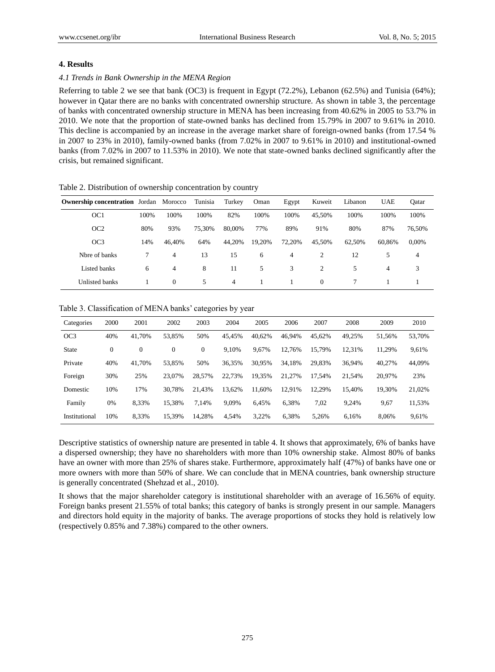## **4. Results**

## *4.1 Trends in Bank Ownership in the MENA Region*

Referring to table 2 we see that bank (OC3) is frequent in Egypt (72.2%), Lebanon (62.5%) and Tunisia (64%); however in Qatar there are no banks with concentrated ownership structure. As shown in table 3, the percentage of banks with concentrated ownership structure in MENA has been increasing from 40.62% in 2005 to 53.7% in 2010. We note that the proportion of state-owned banks has declined from 15.79% in 2007 to 9.61% in 2010. This decline is accompanied by an increase in the average market share of foreign-owned banks (from 17.54 % in 2007 to 23% in 2010), family-owned banks (from 7.02% in 2007 to 9.61% in 2010) and institutional-owned banks (from 7.02% in 2007 to 11.53% in 2010). We note that state-owned banks declined significantly after the crisis, but remained significant.

| <b>Ownership concentration</b> Jordan Morocco |      |                | Tunisia | Turkey | Oman   | Egypt  | Kuweit         | Libanon | <b>UAE</b> | Qatar  |
|-----------------------------------------------|------|----------------|---------|--------|--------|--------|----------------|---------|------------|--------|
| OC <sub>1</sub>                               | 100% | 100%           | 100%    | 82%    | 100%   | 100%   | 45.50%         | 100%    | 100%       | 100%   |
| OC2                                           | 80%  | 93%            | 75,30%  | 80,00% | 77%    | 89%    | 91%            | 80%     | 87%        | 76,50% |
| OC <sub>3</sub>                               | 14%  | 46,40%         | 64%     | 44,20% | 19,20% | 72.20% | 45.50%         | 62.50%  | 60,86%     | 0,00%  |
| Nhre of banks                                 |      | 4              | 13      | 15     | 6      | 4      | $\overline{c}$ | 12      | 5          | 4      |
| Listed banks                                  | 6    | 4              | 8       | 11     | 5      | 3      | 2              | 5       | 4          | 3      |
| Unlisted banks                                |      | $\overline{0}$ | 5.      | 4      |        |        | $\theta$       |         |            |        |

Table 2. Distribution of ownership concentration by country

|  | Table 3. Classification of MENA banks' categories by year |
|--|-----------------------------------------------------------|
|  |                                                           |

| Categories    | 2000             | 2001     | 2002         | 2003             | 2004   | 2005   | 2006   | 2007   | 2008   | 2009   | 2010   |
|---------------|------------------|----------|--------------|------------------|--------|--------|--------|--------|--------|--------|--------|
| OC3           | 40%              | 41.70%   | 53,85%       | 50%              | 45,45% | 40,62% | 46.94% | 45.62% | 49.25% | 51.56% | 53,70% |
| <b>State</b>  | $\boldsymbol{0}$ | $\theta$ | $\mathbf{0}$ | $\boldsymbol{0}$ | 9,10%  | 9,67%  | 12.76% | 15,79% | 12,31% | 11,29% | 9,61%  |
| Private       | 40%              | 41.70%   | 53,85%       | 50%              | 36,35% | 30.95% | 34.18% | 29.83% | 36.94% | 40,27% | 44,09% |
| Foreign       | 30%              | 25%      | 23,07%       | 28,57%           | 22,73% | 19,35% | 21,27% | 17,54% | 21,54% | 20,97% | 23%    |
| Domestic      | 10%              | 17%      | 30.78%       | 21,43%           | 13,62% | 11,60% | 12.91% | 12,29% | 15,40% | 19,30% | 21,02% |
| Family        | 0%               | 8,33%    | 15,38%       | 7.14%            | 9,09%  | 6,45%  | 6,38%  | 7,02   | 9,24%  | 9,67   | 11,53% |
| Institutional | 10%              | 8,33%    | 15,39%       | 14,28%           | 4.54%  | 3,22%  | 6,38%  | 5,26%  | 6,16%  | 8,06%  | 9,61%  |

Descriptive statistics of ownership nature are presented in table 4. It shows that approximately, 6% of banks have a dispersed ownership; they have no shareholders with more than 10% ownership stake. Almost 80% of banks have an owner with more than 25% of shares stake. Furthermore, approximately half (47%) of banks have one or more owners with more than 50% of share. We can conclude that in MENA countries, bank ownership structure is generally concentrated (Shehzad et al., 2010).

It shows that the major shareholder category is institutional shareholder with an average of 16.56% of equity. Foreign banks present 21.55% of total banks; this category of banks is strongly present in our sample. Managers and directors hold equity in the majority of banks. The average proportions of stocks they hold is relatively low (respectively 0.85% and 7.38%) compared to the other owners.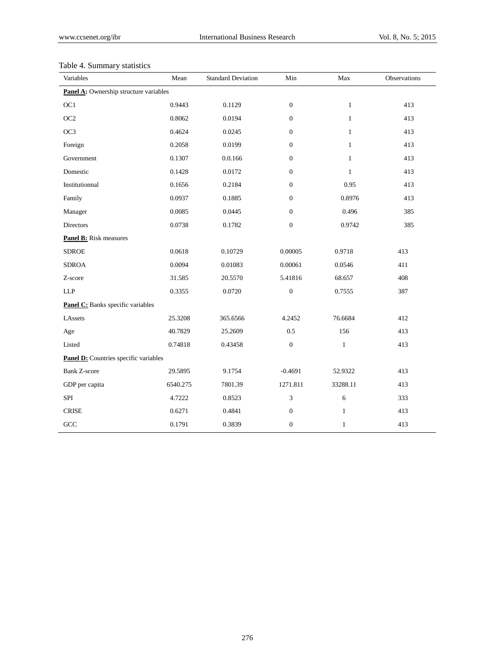# Table 4. Summary statistics

| Variables                                | Mean     | <b>Standard Deviation</b> | Min              | Max          | Observations |  |  |  |  |
|------------------------------------------|----------|---------------------------|------------------|--------------|--------------|--|--|--|--|
| Panel A: Ownership structure variables   |          |                           |                  |              |              |  |  |  |  |
| OC1                                      | 0.9443   | 0.1129                    | $\boldsymbol{0}$ | $\mathbf{1}$ | 413          |  |  |  |  |
| OC2                                      | 0.8062   | 0.0194                    | $\mathbf{0}$     | $\mathbf{1}$ | 413          |  |  |  |  |
| OC3                                      | 0.4624   | 0.0245                    | $\mathbf{0}$     | $\mathbf{1}$ | 413          |  |  |  |  |
| Foreign                                  | 0.2058   | 0.0199                    | $\mathbf{0}$     | $\mathbf{1}$ | 413          |  |  |  |  |
| Government                               | 0.1307   | 0.0.166                   | $\boldsymbol{0}$ | $\mathbf{1}$ | 413          |  |  |  |  |
| Domestic                                 | 0.1428   | 0.0172                    | $\mathbf{0}$     | $\mathbf{1}$ | 413          |  |  |  |  |
| Institutionnal                           | 0.1656   | 0.2184                    | $\mathbf{0}$     | 0.95         | 413          |  |  |  |  |
| Family                                   | 0.0937   | 0.1885                    | $\mathbf{0}$     | 0.8976       | 413          |  |  |  |  |
| Manager                                  | 0.0085   | 0.0445                    | $\mathbf{0}$     | 0.496        | 385          |  |  |  |  |
| Directors                                | 0.0738   | 0.1782                    | $\mathbf{0}$     | 0.9742       | 385          |  |  |  |  |
| <b>Panel B:</b> Risk measures            |          |                           |                  |              |              |  |  |  |  |
| <b>SDROE</b>                             | 0.0618   | 0.10729                   | 0.00005          | 0.9718       | 413          |  |  |  |  |
| <b>SDROA</b>                             | 0.0094   | 0.01083                   | 0.00061          | 0.0546       | 411          |  |  |  |  |
| Z-score                                  | 31.585   | 20.5570                   | 5.41816          | 68.657       | 408          |  |  |  |  |
| <b>LLP</b>                               | 0.3355   | 0.0720                    | $\boldsymbol{0}$ | 0.7555       | 387          |  |  |  |  |
| <b>Panel C:</b> Banks specific variables |          |                           |                  |              |              |  |  |  |  |
| LAssets                                  | 25.3208  | 365.6566                  | 4.2452           | 76.6684      | 412          |  |  |  |  |
| Age                                      | 40.7829  | 25.2609                   | 0.5              | 156          | 413          |  |  |  |  |
| Listed                                   | 0.74818  | 0.43458                   | $\mathbf{0}$     | $\mathbf{1}$ | 413          |  |  |  |  |
| Panel D: Countries specific variables    |          |                           |                  |              |              |  |  |  |  |
| <b>Bank Z-score</b>                      | 29.5895  | 9.1754                    | $-0.4691$        | 52.9322      | 413          |  |  |  |  |
| GDP per capita                           | 6540.275 | 7801.39                   | 1271.811         | 33288.11     | 413          |  |  |  |  |
| SPI                                      | 4.7222   | 0.8523                    | 3                | 6            | 333          |  |  |  |  |
| $\ensuremath{\mathsf{CRISE}}$            | 0.6271   | 0.4841                    | $\boldsymbol{0}$ | $\mathbf{1}$ | 413          |  |  |  |  |
| GCC                                      | 0.1791   | 0.3839                    | $\mathbf{0}$     | $\mathbf{1}$ | 413          |  |  |  |  |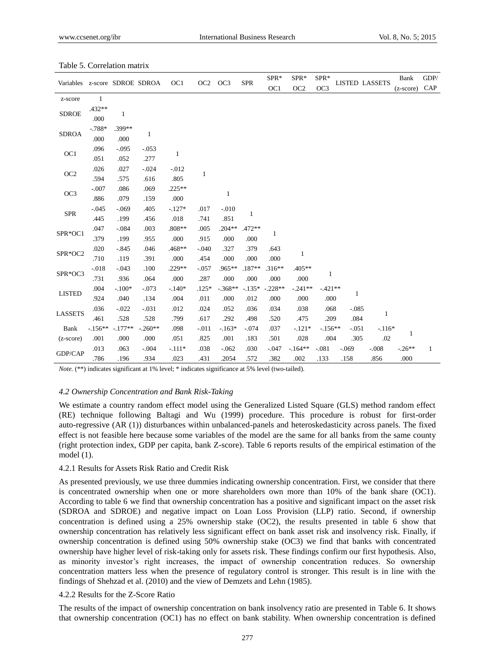| Variables z-score SDROE SDROA |              |           |              |                 |                 | OC <sub>3</sub> | <b>SPR</b> | SPR*            | SPR*      | SPR*         | <b>LISTED LASSETS</b> |              | Bank               | GDP/ |
|-------------------------------|--------------|-----------|--------------|-----------------|-----------------|-----------------|------------|-----------------|-----------|--------------|-----------------------|--------------|--------------------|------|
|                               |              |           |              | OC <sub>1</sub> | OC <sub>2</sub> |                 |            | OC <sub>1</sub> | OC2       | OC3          |                       |              | $(z\text{-score})$ | CAP  |
| z-score                       | $\mathbf{1}$ |           |              |                 |                 |                 |            |                 |           |              |                       |              |                    |      |
| <b>SDROE</b>                  | .432**       | 1         |              |                 |                 |                 |            |                 |           |              |                       |              |                    |      |
|                               | .000         |           |              |                 |                 |                 |            |                 |           |              |                       |              |                    |      |
| <b>SDROA</b>                  | $-788*$      | .399**    | $\mathbf{1}$ |                 |                 |                 |            |                 |           |              |                       |              |                    |      |
|                               | .000         | .000      |              |                 |                 |                 |            |                 |           |              |                       |              |                    |      |
| OC1                           | .096         | $-.095$   | $-.053$      | 1               |                 |                 |            |                 |           |              |                       |              |                    |      |
|                               | .051         | .052      | .277         |                 |                 |                 |            |                 |           |              |                       |              |                    |      |
| OC <sub>2</sub>               | .026         | .027      | $-.024$      | $-0.012$        | $\mathbf{1}$    |                 |            |                 |           |              |                       |              |                    |      |
|                               | .594         | .575      | .616         | .805            |                 |                 |            |                 |           |              |                       |              |                    |      |
| OC3                           | $-.007$      | .086      | .069         | $.225**$        |                 |                 |            |                 |           |              |                       |              |                    |      |
|                               | .886         | .079      | .159         | .000            |                 | 1               |            |                 |           |              |                       |              |                    |      |
| <b>SPR</b>                    | $-.045$      | $-.069$   | .405         | $-.127*$        | .017            | $-.010$         | 1          |                 |           |              |                       |              |                    |      |
|                               | .445         | .199      | .456         | .018            | .741            | .851            |            |                 |           |              |                       |              |                    |      |
|                               | .047         | $-.084$   | .003         | $.808**$        | .005            | $.204**$        | $.472**$   |                 |           |              |                       |              |                    |      |
| SPR*OC1                       | .379         | .199      | .955         | .000            | .915            | .000            | .000       | $\mathbf{1}$    |           |              |                       |              |                    |      |
| SPR*OC2                       | .020         | $-.845$   | .046         | $.468**$        | $-.040$         | .327            | .379       | .643            | 1         |              |                       |              |                    |      |
|                               | .710         | .119      | .391         | .000            | .454            | .000            | .000       | .000            |           |              |                       |              |                    |      |
| SPR*OC3                       | $-0.018$     | $-.043$   | .100         | $.229**$        | $-.057$         | $.965**$        | $.187**$   | $.316**$        | $.405**$  | $\mathbf{1}$ |                       |              |                    |      |
|                               | .731         | .936      | .064         | .000            | .287            | .000            | .000       | .000            | .000      |              |                       |              |                    |      |
| <b>LISTED</b>                 | .004         | $-.100*$  | $-.073$      | $-.140*$        | $.125*$         | $-.368**$       | $-135*$    | $-.228**$       | $-.241**$ | $-421**$     |                       |              |                    |      |
|                               | .924         | .040      | .134         | .004            | .011            | .000            | .012       | .000            | .000      | .000         | 1                     |              |                    |      |
| <b>LASSETS</b>                | .036         | $-.022$   | $-.031$      | .012            | .024            | .052            | .036       | .034            | .038      | .068         | $-.085$               |              |                    |      |
|                               | .461         | .528      | .528         | .799            | .617            | .292            | .498       | .520            | .475      | .209         | .084                  | $\mathbf{1}$ |                    |      |
| <b>Bank</b>                   | $-156**$     | $-.177**$ | $-.260**$    | .098            | $-.011$         | $-.163*$        | $-.074$    | .037            | $-.121*$  | $-156**$     | $-.051$               | $-.116*$     |                    |      |
| $(z\text{-score})$            | .001         | .000      | .000         | .051            | .825            | .001            | .183       | .501            | .028      | .004         | .305                  | .02          | 1                  |      |
| GDP/CAP                       | .013         | .063      | $-.004$      | $-.111*$        | .038            | $-062$          | .030       | $-.047$         | $-164**$  | $-.081$      | $-.069$               | $-.008$      | $-0.26**$          | 1    |
|                               | .786         | .196      | .934         | .023            | .431            | .2054           | .572       | .382            | .002      | .133         | .158                  | .856         | .000               |      |

#### Table 5. Correlation matrix

*Note.* (\*\*) indicates significant at 1% level; \* indicates significance at 5% level (two-tailed).

#### *4.2 Ownership Concentration and Bank Risk-Taking*

We estimate a country random effect model using the Generalized Listed Square (GLS) method random effect (RE) technique following Baltagi and Wu (1999) procedure. This procedure is robust for first-order auto-regressive (AR (1)) disturbances within unbalanced-panels and heteroskedasticity across panels. The fixed effect is not feasible here because some variables of the model are the same for all banks from the same county (right protection index, GDP per capita, bank Z-score). Table 6 reports results of the empirical estimation of the model (1).

### 4.2.1 Results for Assets Risk Ratio and Credit Risk

As presented previously, we use three dummies indicating ownership concentration. First, we consider that there is concentrated ownership when one or more shareholders own more than 10% of the bank share (OC1). According to table 6 we find that ownership concentration has a positive and significant impact on the asset risk (SDROA and SDROE) and negative impact on Loan Loss Provision (LLP) ratio. Second, if ownership concentration is defined using a 25% ownership stake (OC2), the results presented in table 6 show that ownership concentration has relatively less significant effect on bank asset risk and insolvency risk. Finally, if ownership concentration is defined using 50% ownership stake (OC3) we find that banks with concentrated ownership have higher level of risk-taking only for assets risk. These findings confirm our first hypothesis. Also, as minority investor's right increases, the impact of ownership concentration reduces. So ownership concentration matters less when the presence of regulatory control is stronger. This result is in line with the findings of Shehzad et al. (2010) and the view of Demzets and Lehn (1985).

#### 4.2.2 Results for the Z-Score Ratio

The results of the impact of ownership concentration on bank insolvency ratio are presented in Table 6. It shows that ownership concentration (OC1) has no effect on bank stability. When ownership concentration is defined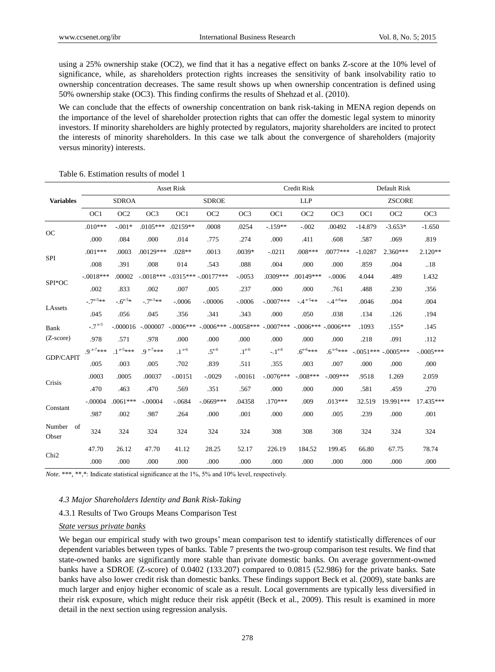using a 25% ownership stake (OC2), we find that it has a negative effect on banks Z-score at the 10% level of significance, while, as shareholders protection rights increases the sensitivity of bank insolvability ratio to ownership concentration decreases. The same result shows up when ownership concentration is defined using 50% ownership stake (OC3). This finding confirms the results of Shehzad et al. (2010).

We can conclude that the effects of ownership concentration on bank risk-taking in MENA region depends on the importance of the level of shareholder protection rights that can offer the domestic legal system to minority investors. If minority shareholders are highly protected by regulators, majority shareholders are incited to protect the interests of minority shareholders. In this case we talk about the convergence of shareholders (majority versus minority) interests.

|                    |                 |                 |                       | <b>Asset Risk</b> |                                |                                |                     | Credit Risk             |                 |           | Default Risk              |                 |
|--------------------|-----------------|-----------------|-----------------------|-------------------|--------------------------------|--------------------------------|---------------------|-------------------------|-----------------|-----------|---------------------------|-----------------|
| <b>Variables</b>   |                 | <b>SDROA</b>    |                       |                   | <b>SDROE</b>                   |                                |                     | <b>LLP</b>              |                 |           | <b>ZSCORE</b>             |                 |
|                    | OC <sub>1</sub> | OC <sub>2</sub> | OC <sub>3</sub>       | OC1               | OC <sub>2</sub>                | OC <sub>3</sub>                | OC <sub>1</sub>     | OC <sub>2</sub>         | OC <sub>3</sub> | OC1       | OC <sub>2</sub>           | OC <sub>3</sub> |
|                    | $.010***$       | $-.001*$        | $.0105***$            | $.02159**$        | .0008                          | .0254                          | $-.159**$           | $-.002$                 | .00492          | $-14.879$ | $-3.653*$                 | $-1.650$        |
| OC                 | .000            | .084            | .000                  | .014              | .775                           | .274                           | .000                | .411                    | .608            | .587      | .069                      | .819            |
| <b>SPI</b>         | $.001***$       | .0003           | $.00129***$           | $.028**$          | .0013                          | $.0039*$                       | $-.0211$            | $.008***$               | $.0077***$      | $-1.0287$ | $2.360***$                | $2.120**$       |
|                    | .008            | .391            | .008                  | 014               | .543                           | .088                           | .004                | .000                    | .000            | .859      | .004                      | .18             |
|                    | $-.0018***$     | .00002          |                       |                   | $-.0018***-.0315***-.00177***$ | $-.0053$                       | .0309***            | $.00149***$             | $-.0006$        | 4.044     | .489                      | 1.432           |
| SPI*OC             | .002            | .833            | .002                  | .007              | .005                           | .237                           | .000                | .000                    | .761            | .488      | .230                      | .356            |
|                    | $-7^{e-5**}$    | $-6^{e-5*}$     | $-7^{e-5**}$          | $-.0006$          | $-.00006$                      | $-.0006$                       | $-.0007***$         | $-4^{e-5**}$            | $-4e^{-6}$ **   | .0046     | .004                      | .004            |
| LAssets            | .045            | .056            | .045                  | .356              | .341                           | .343                           | .000                | .050                    | .038            | .134      | .126                      | .194            |
| Bank               | $-7e^{-5}$      |                 | $-.000016$ $-.000007$ | $-.0006***$       |                                | $-.0006***-.00058***-.0007***$ |                     | $-0.006***$ $-0.006***$ |                 | .1093     | $.155*$                   | .145            |
| $(Z-score)$        | .978            | .571            | .978                  | .000              | .000                           | .000                           | .000                | .000                    | .000            | .218      | .091                      | .112            |
|                    | $9^{e-7***}$    | $.1^{\,e-5***}$ | $9^{e-7***}$          | $.1^{\text{e-6}}$ | $.5^{e-6}$                     | $.1^{e-6}$                     | $-1$ <sup>e-6</sup> | $.6^{e-6***}$           | $.6^{e-6***}$   |           | $-0.0051***$ $-0.0005***$ | $-.0005***$     |
| GDP/CAPIT          | .005            | .003            | .005                  | .702              | .839                           | .511                           | .355                | .003                    | .007            | .000      | .000                      | .000            |
|                    | .0003           | .0005           | .00037                | $-.00151$         | $-.0029$                       | $-.00161$                      | $-.0076***$         | $-.008***$              | $-.009***$      | .9518     | 1.269                     | 2.059           |
| Crisis             | .470            | .463            | .470                  | .569              | .351                           | .567                           | .000                | .000                    | .000            | .581      | .459                      | .270            |
|                    | $-.00004$       | $.0061***$      | $-.00004$             | $-0684$           | $-.0669***$                    | .04358                         | $.170***$           | .009                    | $.013***$       | 32.519    | 19.991***                 | 17.435***       |
| Constant           | .987            | .002            | .987                  | .264              | .000                           | .001                           | .000                | .000                    | .005            | .239      | .000                      | .001            |
| Number of<br>Obser | 324             | 324             | 324                   | 324               | 324                            | 324                            | 308                 | 308                     | 308             | 324       | 324                       | 324             |
|                    | 47.70           | 26.12           | 47.70                 | 41.12             | 28.25                          | 52.17                          | 226.19              | 184.52                  | 199.45          | 66.80     | 67.75                     | 78.74           |
| Chi <sub>2</sub>   | .000            | .000            | .000                  | .000              | .000                           | .000                           | .000                | .000                    | .000            | .000      | .000                      | .000            |

Table 6. Estimation results of model 1

*Note.* \*\*\*, \*\*, \*: Indicate statistical significance at the 1%, 5% and 10% level, respectively.

### *4.3 Major Shareholders Identity and Bank Risk-Taking*

#### 4.3.1 Results of Two Groups Means Comparison Test

## *State versus private banks*

We began our empirical study with two groups' mean comparison test to identify statistically differences of our dependent variables between types of banks. Table 7 presents the two-group comparison test results. We find that state-owned banks are significantly more stable than private domestic banks. On average government-owned banks have a SDROE (Z-score) of 0.0402 (133.207) compared to 0.0815 (52.986) for the private banks. Sate banks have also lower credit risk than domestic banks. These findings support Beck et al. (2009), state banks are much larger and enjoy higher economic of scale as a result. Local governments are typically less diversified in their risk exposure, which might reduce their risk appétit (Beck et al., 2009). This result is examined in more detail in the next section using regression analysis.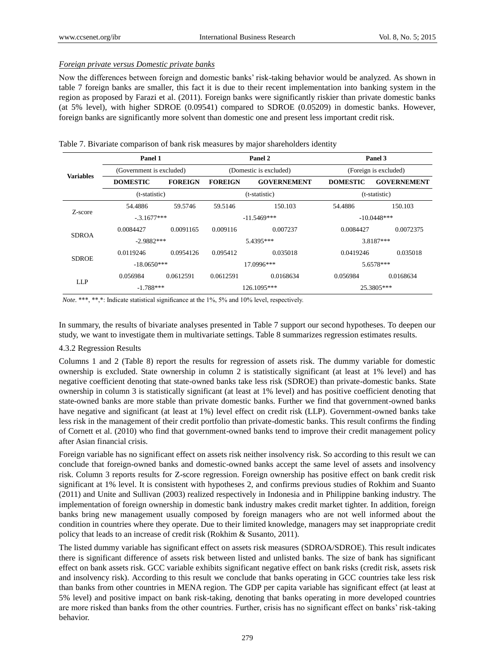# *Foreign private versus Domestic private banks*

Now the differences between foreign and domestic banks' risk-taking behavior would be analyzed. As shown in table 7 foreign banks are smaller, this fact it is due to their recent implementation into banking system in the region as proposed by Farazi et al. (2011). Foreign banks were significantly riskier than private domestic banks (at 5% level), with higher SDROE (0.09541) compared to SDROE (0.05209) in domestic banks. However, foreign banks are significantly more solvent than domestic one and present less important credit risk.

Table 7. Bivariate comparison of bank risk measures by major shareholders identity

|                                              | Panel 1         |                |                        | Panel 2            |                       | Panel 3            |  |
|----------------------------------------------|-----------------|----------------|------------------------|--------------------|-----------------------|--------------------|--|
| (Government is excluded)<br><b>Variables</b> |                 |                | (Domestic is excluded) |                    | (Foreign is excluded) |                    |  |
|                                              | <b>DOMESTIC</b> | <b>FOREIGN</b> | <b>FOREIGN</b>         | <b>GOVERNEMENT</b> |                       | <b>GOVERNEMENT</b> |  |
| (t-statistic)                                |                 |                | (t-statistic)          |                    | (t-statistic)         |                    |  |
| Z-score                                      | 54.4886         | 59.5746        | 59.5146                | 150.103            | 54.4886               | 150.103            |  |
| $-.3.1677***$                                |                 |                |                        | $-11.5469***$      | $-10.0448***$         |                    |  |
| <b>SDROA</b>                                 | 0.0084427       | 0.0091165      | 0.009116               | 0.007237           | 0.0084427             | 0.0072375          |  |
|                                              |                 | $-2.9882***$   |                        | 5.4395***          | 3.8187***             |                    |  |
| <b>SDROE</b>                                 | 0.0119246       | 0.0954126      | 0.095412               | 0.035018           | 0.0419246             | 0.035018           |  |
|                                              | $-18.0650***$   |                |                        | 17.0996***         | 5.6578***             |                    |  |
|                                              | 0.056984        | 0.0612591      | 0.0612591              | 0.0168634          | 0.056984              | 0.0168634          |  |
| <b>LLP</b>                                   | $-1.788***$     |                |                        | 126.1095***        | 25.3805***            |                    |  |

*Note.* \*\*\*, \*\*, \*: Indicate statistical significance at the 1%, 5% and 10% level, respectively.

In summary, the results of bivariate analyses presented in Table 7 support our second hypotheses. To deepen our study, we want to investigate them in multivariate settings. Table 8 summarizes regression estimates results.

# 4.3.2 Regression Results

Columns 1 and 2 (Table 8) report the results for regression of assets risk. The dummy variable for domestic ownership is excluded. State ownership in column 2 is statistically significant (at least at 1% level) and has negative coefficient denoting that state-owned banks take less risk (SDROE) than private-domestic banks. State ownership in column 3 is statistically significant (at least at 1% level) and has positive coefficient denoting that state-owned banks are more stable than private domestic banks. Further we find that government-owned banks have negative and significant (at least at 1%) level effect on credit risk (LLP). Government-owned banks take less risk in the management of their credit portfolio than private-domestic banks. This result confirms the finding of Cornett et al. (2010) who find that government-owned banks tend to improve their credit management policy after Asian financial crisis.

Foreign variable has no significant effect on assets risk neither insolvency risk. So according to this result we can conclude that foreign-owned banks and domestic-owned banks accept the same level of assets and insolvency risk. Column 3 reports results for Z-score regression. Foreign ownership has positive effect on bank credit risk significant at 1% level. It is consistent with hypotheses 2, and confirms previous studies of Rokhim and Suanto (2011) and Unite and Sullivan (2003) realized respectively in Indonesia and in Philippine banking industry. The implementation of foreign ownership in domestic bank industry makes credit market tighter. In addition, foreign banks bring new management usually composed by foreign managers who are not well informed about the condition in countries where they operate. Due to their limited knowledge, managers may set inappropriate credit policy that leads to an increase of credit risk (Rokhim & Susanto, 2011).

The listed dummy variable has significant effect on assets risk measures (SDROA/SDROE). This result indicates there is significant difference of assets risk between listed and unlisted banks. The size of bank has significant effect on bank assets risk. GCC variable exhibits significant negative effect on bank risks (credit risk, assets risk and insolvency risk). According to this result we conclude that banks operating in GCC countries take less risk than banks from other countries in MENA region. The GDP per capita variable has significant effect (at least at 5% level) and positive impact on bank risk-taking, denoting that banks operating in more developed countries are more risked than banks from the other countries. Further, crisis has no significant effect on banks' risk-taking behavior.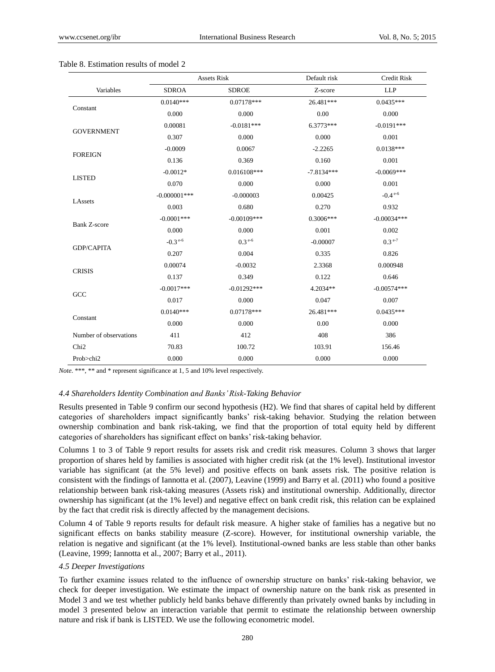| Table 8. Estimation results of model 2 |  |  |  |  |  |  |
|----------------------------------------|--|--|--|--|--|--|
|----------------------------------------|--|--|--|--|--|--|

|                        | <b>Assets Risk</b> |                | Default risk | Credit Risk   |
|------------------------|--------------------|----------------|--------------|---------------|
| Variables              | <b>SDROA</b>       | <b>SDROE</b>   | Z-score      | <b>LLP</b>    |
|                        | $0.0140***$        | 0.07178***     | 26.481***    | $0.0435***$   |
| Constant               | 0.000              | 0.000          | 0.00         | 0.000         |
| <b>GOVERNMENT</b>      | 0.00081            | $-0.0181***$   | $6.3773***$  | $-0.0191***$  |
|                        | 0.307              | 0.000          | 0.000        | 0.001         |
| <b>FOREIGN</b>         | $-0.0009$          | 0.0067         | $-2.2265$    | $0.0138***$   |
|                        | 0.136              | 0.369          | 0.160        | 0.001         |
|                        | $-0.0012*$         | $0.016108***$  | $-7.8134***$ | $-0.0069***$  |
| <b>LISTED</b>          | 0.070              | 0.000          | 0.000        | 0.001         |
| LAssets                | $-0.000001$ ***    | $-0.000003$    | 0.00425      | $-0.4e^{-6}$  |
|                        | 0.003              | 0.680          | 0.270        | 0.932         |
| <b>Bank Z-score</b>    | $-0.0001$ ***      | $-0.00109$ *** | $0.3006***$  | $-0.00034***$ |
|                        | 0.000              | 0.000          | 0.001        | 0.002         |
| <b>GDP/CAPITA</b>      | $-0.3e^{-6}$       | $0.3^{e-6}$    | $-0.00007$   | $0.3^{e.7}$   |
|                        | 0.207              | 0.004          | 0.335        | 0.826         |
| <b>CRISIS</b>          | 0.00074            | $-0.0032$      | 2.3368       | 0.000948      |
|                        | 0.137              | 0.349          | 0.122        | 0.646         |
| GCC                    | $-0.0017***$       | $-0.01292***$  | 4.2034**     | $-0.00574***$ |
|                        | 0.017              | 0.000          | 0.047        | 0.007         |
| Constant               | $0.0140***$        | $0.07178***$   | 26.481***    | $0.0435***$   |
|                        | 0.000              | 0.000          | 0.00         | 0.000         |
| Number of observations | 411                | 412            | 408          | 386           |
| Chi <sub>2</sub>       | 70.83              | 100.72         | 103.91       | 156.46        |
| Prob>chi2              | 0.000              | 0.000          | 0.000        | 0.000         |

*Note.* \*\*\*, \*\* and \* represent significance at 1, 5 and 10% level respectively.

#### *4.4 Shareholders Identity Combination and Banks' Risk-Taking Behavior*

Results presented in Table 9 confirm our second hypothesis (H2). We find that shares of capital held by different categories of shareholders impact significantly banks' risk-taking behavior. Studying the relation between ownership combination and bank risk-taking, we find that the proportion of total equity held by different categories of shareholders has significant effect on banks' risk-taking behavior.

Columns 1 to 3 of Table 9 report results for assets risk and credit risk measures. Column 3 shows that larger proportion of shares held by families is associated with higher credit risk (at the 1% level). Institutional investor variable has significant (at the 5% level) and positive effects on bank assets risk. The positive relation is consistent with the findings of Iannotta et al. (2007), Leavine (1999) and Barry et al. (2011) who found a positive relationship between bank risk-taking measures (Assets risk) and institutional ownership. Additionally, director ownership has significant (at the 1% level) and negative effect on bank credit risk, this relation can be explained by the fact that credit risk is directly affected by the management decisions.

Column 4 of Table 9 reports results for default risk measure. A higher stake of families has a negative but no significant effects on banks stability measure (Z-score). However, for institutional ownership variable, the relation is negative and significant (at the 1% level). Institutional-owned banks are less stable than other banks (Leavine, 1999; Iannotta et al., 2007; Barry et al., 2011).

#### *4.5 Deeper Investigations*

To further examine issues related to the influence of ownership structure on banks' risk-taking behavior, we check for deeper investigation. We estimate the impact of ownership nature on the bank risk as presented in Model 3 and we test whether publicly held banks behave differently than privately owned banks by including in model 3 presented below an interaction variable that permit to estimate the relationship between ownership nature and risk if bank is LISTED. We use the following econometric model.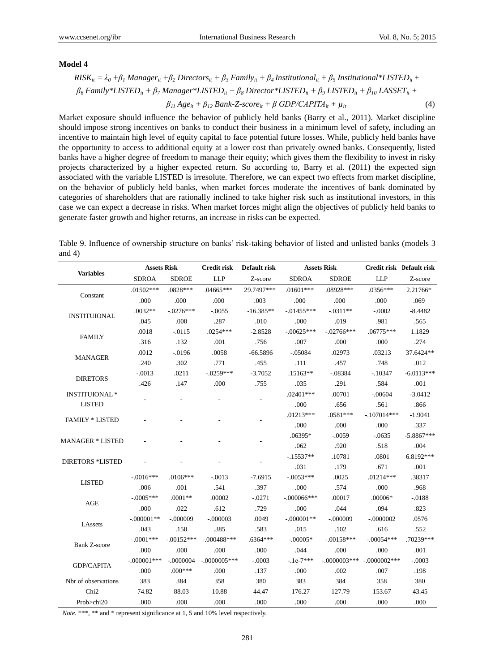#### **Model 4**

 $RISK_{ii} = \lambda_0 + \beta_1 Manager_{ii} + \beta_2 Director_{ii} + \beta_3 Family_{ii} + \beta_4 Institutional_{ii} + \beta_5 Institutional*LISTED_{ii} + \beta_6$  $\beta_6$  Family\*LISTED<sub>it</sub> +  $\beta_7$  Manager\*LISTED<sub>it</sub> +  $\beta_8$  Director\*LISTED<sub>it</sub> +  $\beta_9$  LISTED<sub>it</sub> +  $\beta_{10}$  LASSET<sub>it</sub> +  $\beta_{11}$  *Age*<sub>*it*</sub> +  $\beta_{12}$  *Bank-Z-score*<sub>*it*</sub> +  $\beta$  *GDP/CAPITA*<sub>*it*</sub> +  $\mu$ <sub>*it*</sub> (4)

Market exposure should influence the behavior of publicly held banks (Barry et al., 2011). Market discipline should impose strong incentives on banks to conduct their business in a minimum level of safety, including an incentive to maintain high level of equity capital to face potential future losses. While, publicly held banks have the opportunity to access to additional equity at a lower cost than privately owned banks. Consequently, listed banks have a higher degree of freedom to manage their equity; which gives them the flexibility to invest in risky projects characterized by a higher expected return. So according to, Barry et al. (2011) the expected sign associated with the variable LISTED is irresolute. Therefore, we can expect two effects from market discipline, on the behavior of publicly held banks, when market forces moderate the incentives of bank dominated by categories of shareholders that are rationally inclined to take higher risk such as institutional investors, in this case we can expect a decrease in risks. When market forces might align the objectives of publicly held banks to generate faster growth and higher returns, an increase in risks can be expected.

Table 9. Influence of ownership structure on banks' risk-taking behavior of listed and unlisted banks (models 3 and 4)

| <b>Variables</b>        | <b>Assets Risk</b> |              | <b>Credit risk</b> | Default risk | <b>Assets Risk</b> |                               |               | Credit risk Default risk |
|-------------------------|--------------------|--------------|--------------------|--------------|--------------------|-------------------------------|---------------|--------------------------|
|                         | <b>SDROA</b>       | <b>SDROE</b> | <b>LLP</b>         | Z-score      | <b>SDROA</b>       | <b>SDROE</b>                  | <b>LLP</b>    | Z-score                  |
| Constant                | $.01502***$        | $.0828***$   | $.04665***$        | 29.7497***   | $.01601$ ***       | $.08928***$                   | $.0356***$    | 2.21766*                 |
|                         | .000               | .000         | .000               | .003         | .000               | .000                          | .000          | .069                     |
| <b>INSTITUIONAL</b>     | $.0032**$          | $-.0276***$  | $-.0055$           | $-16.385**$  | $-.01455***$       | $-.0311**$                    | $-.0002$      | $-8.4482$                |
|                         | .045               | .000         | .287               | .010         | .000               | .019                          | .981          | .565                     |
| <b>FAMILY</b>           | .0018              | $-0.0115$    | $.0254***$         | $-2.8528$    | $-.00625***$       | $-.02766***$                  | $.06775***$   | 1.1829                   |
|                         | .316               | .132         | .001               | .756         | .007               | .000                          | .000          | .274                     |
| <b>MANAGER</b>          | .0012              | $-0.0196$    | .0058              | $-66.5896$   | $-.05084$          | .02973                        | .03213        | 37.6424**                |
|                         | .240               | .302         | .771               | .455         | .111               | .457                          | .748          | .012                     |
| <b>DIRETORS</b>         | $-.0013$           | .0211        | $-.0259***$        | $-3.7052$    | $.15163**$         | $-08384$                      | $-.10347$     | $-6.0113***$             |
|                         | .426               | .147         | .000               | .755         | .035               | .291                          | .584          | .001                     |
| <b>INSTITUIONAL*</b>    |                    |              |                    |              | $.02401***$        | .00701                        | $-.00604$     | $-3.0412$                |
| <b>LISTED</b>           |                    |              |                    |              | .000               | .656                          | .561          | .866                     |
| <b>FAMILY * LISTED</b>  |                    |              |                    |              | $.01213***$        | $.0581***$                    | $-.107014***$ | $-1.9041$                |
|                         |                    |              |                    |              | .000               | .000                          | .000          | .337                     |
| <b>MANAGER * LISTED</b> |                    |              |                    |              | .06395*            | $-.0059$                      | $-0.0635$     | $-5.8867***$             |
|                         |                    |              |                    |              | .062               | .920                          | .518          | .004                     |
| <b>DIRETORS *LISTED</b> |                    |              |                    |              | $-15537**$         | .10781                        | .0801         | 6.8192***                |
|                         |                    |              |                    |              | .031               | .179                          | .671          | .001                     |
| <b>LISTED</b>           | $-.0016***$        | $.0106***$   | $-.0013$           | $-7.6915$    | $-.0053***$        | .0025                         | $.01214***$   | .38317                   |
|                         | .006               | .001         | .541               | .397         | .000               | .574                          | .000          | .968                     |
| AGE                     | $-.0005***$        | $.0001**$    | .00002             | $-.0271$     | $-.000066$ ***     | .00017                        | .00006*       | $-.0188$                 |
|                         | .000               | .022         | .612               | .729         | .000               | .044                          | .094          | .823                     |
| LAssets                 | $-.000001**$       | $-.000009$   | $-.000003$         | .0049        | $-.000001**$       | $-.000009$                    | $-.0000002$   | .0576                    |
|                         | .043               | .150         | .385               | .583         | .015               | .102                          | .616          | .552                     |
| <b>Bank Z-score</b>     | $-.0001***$        | $-.00152***$ | $-.000488***$      | $.6364***$   | $-.00005*$         | $-.00158***$                  | $-.00054***$  | .70239***                |
|                         | .000               | .000         | .000               | .000         | .044               | .000                          | .000          | .001                     |
| <b>GDP/CAPITA</b>       | $-.000001$ ***     | $-.0000004$  | $-.0000005***$     | $-.0003$     | $-.1e-7***$        | $-.0000003***$ $-.0000002***$ |               | $-.0003$                 |
|                         | .000               | $.000***$    | .000               | .137         | .000               | .002                          | .007          | .198                     |
| Nbr of observations     | 383                | 384          | 358                | 380          | 383                | 384                           | 358           | 380                      |
| Chi <sub>2</sub>        | 74.82              | 88.03        | 10.88              | 44.47        | 176.27             | 127.79                        | 153.67        | 43.45                    |
| Prob>chi20              | .000               | .000         | .000               | .000         | .000               | .000                          | .000          | .000                     |

*Note.* \*\*\*, \*\* and \* represent significance at 1, 5 and 10% level respectively.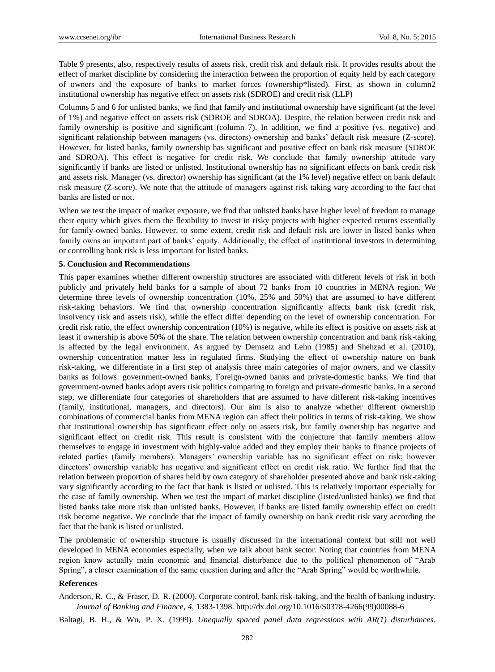Table 9 presents, also, respectively results of assets risk, credit risk and default risk. It provides results about the effect of market discipline by considering the interaction between the proportion of equity held by each category of owners and the exposure of banks to market forces (ownership\*listed). First, as shown in column2 institutional ownership has negative effect on assets risk (SDROE) and credit risk (LLP)

Columns 5 and 6 for unlisted banks, we find that family and institutional ownership have significant (at the level of 1%) and negative effect on assets risk (SDROE and SDROA). Despite, the relation between credit risk and family ownership is positive and significant (column 7). In addition, we find a positive (vs. negative) and significant relationship between managers (vs. directors) ownership and banks' default risk measure (Z-score). However, for listed banks, family ownership has significant and positive effect on bank risk measure (SDROE and SDROA). This effect is negative for credit risk. We conclude that family ownership attitude vary significantly if banks are listed or unlisted. Institutional ownership has no significant effects on bank credit risk and assets risk. Manager (vs. director) ownership has significant (at the 1% level) negative effect on bank default risk measure (Z-score). We note that the attitude of managers against risk taking vary according to the fact that banks are listed or not.

When we test the impact of market exposure, we find that unlisted banks have higher level of freedom to manage their equity which gives them the flexibility to invest in risky projects with higher expected returns essentially for family-owned banks. However, to some extent, credit risk and default risk are lower in listed banks when family owns an important part of banks' equity. Additionally, the effect of institutional investors in determining or controlling bank risk is less important for listed banks.

#### **5. Conclusion and Recommendations**

This paper examines whether different ownership structures are associated with different levels of risk in both publicly and privately held banks for a sample of about 72 banks from 10 countries in MENA region. We determine three levels of ownership concentration (10%, 25% and 50%) that are assumed to have different risk-taking behaviors. We find that ownership concentration significantly affects bank risk (credit risk, insolvency risk and assets risk), while the effect differ depending on the level of ownership concentration. For credit risk ratio, the effect ownership concentration (10%) is negative, while its effect is positive on assets risk at least if ownership is above 50% of the share. The relation between ownership concentration and bank risk-taking is affected by the legal environment. As argued by Demsetz and Lehn (1985) and Shehzad et al. (2010), ownership concentration matter less in regulated firms. Studying the effect of ownership nature on bank risk-taking, we differentiate in a first step of analysis three main categories of major owners, and we classify banks as follows: government-owned banks; Foreign-owned banks and private-domestic banks. We find that government-owned banks adopt avers risk politics comparing to foreign and private-domestic banks. In a second step, we differentiate four categories of shareholders that are assumed to have different risk-taking incentives (family, institutional, managers, and directors). Our aim is also to analyze whether different ownership combinations of commercial banks from MENA region can affect their politics in terms of risk-taking. We show that institutional ownership has significant effect only on assets risk, but family ownership has negative and significant effect on credit risk. This result is consistent with the conjecture that family members allow themselves to engage in investment with highly-value added and they employ their banks to finance projects of related parties (family members). Managers' ownership variable has no significant effect on risk; however directors' ownership variable has negative and significant effect on credit risk ratio. We further find that the relation between proportion of shares held by own category of shareholder presented above and bank risk-taking vary significantly according to the fact that bank is listed or unlisted. This is relatively important especially for the case of family ownership. When we test the impact of market discipline (listed/unlisted banks) we find that listed banks take more risk than unlisted banks. However, if banks are listed family ownership effect on credit risk become negative. We conclude that the impact of family ownership on bank credit risk vary according the fact that the bank is listed or unlisted.

The problematic of ownership structure is usually discussed in the international context but still not well developed in MENA economies especially, when we talk about bank sector. Noting that countries from MENA region know actually main economic and financial disturbance due to the political phenomenon of "Arab Spring", a closer examination of the same question during and after the "Arab Spring" would be worthwhile.

#### **References**

Anderson, R. C., & Fraser, D. R. (2000). Corporate control, bank risk-taking, and the health of banking industry. *Journal of Banking and Finance, 4*, 1383-1398. http://dx.doi.org/10.1016/S0378-4266(99)00088-6

Baltagi, B. H., & Wu, P. X. (1999). *Unequally spaced panel data regressions with AR(1) disturbances*.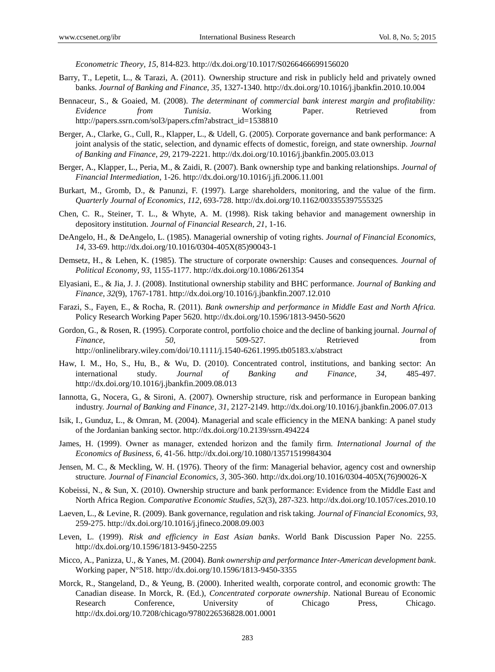*Econometric Theory, 15*, 814-823. http://dx.doi.org/10.1017/S0266466699156020

- Barry, T., Lepetit, L., & Tarazi, A. (2011). Ownership structure and risk in publicly held and privately owned banks. *Journal of Banking and Finance, 35,* 1327-1340. http://dx.doi.org/10.1016/j.jbankfin.2010.10.004
- Bennaceur, S., & Goaied, M. (2008). *The determinant of commercial bank interest margin and profitability: Evidence from Tunisia*. Working Paper. Retrieved from http://papers.ssrn.com/sol3/papers.cfm?abstract\_id=1538810
- Berger, A., Clarke, G., Cull, R., Klapper, L., & Udell, G. (2005). Corporate governance and bank performance: A joint analysis of the static, selection, and dynamic effects of domestic, foreign, and state ownership. *Journal of Banking and Finance, 29*, 2179-2221. http://dx.doi.org/10.1016/j.jbankfin.2005.03.013
- Berger, A., Klapper, L., Peria, M., & Zaidi, R. (2007). Bank ownership type and banking relationships. *Journal of Financial Intermediation*, 1-26. http://dx.doi.org/10.1016/j.jfi.2006.11.001
- Burkart, M., Gromb, D., & Panunzi, F. (1997). Large shareholders, monitoring, and the value of the firm*. Quarterly Journal of Economics, 112*, 693-728. http://dx.doi.org/10.1162/003355397555325
- Chen, C. R., Steiner, T. L., & Whyte, A. M. (1998). Risk taking behavior and management ownership in depository institution. *Journal of Financial Research, 21*, 1-16.
- DeAngelo, H., & DeAngelo, L. (1985). Managerial ownership of voting rights. *Journal of Financial Economics, 14*, 33-69. http://dx.doi.org/10.1016/0304-405X(85)90043-1
- Demsetz, H., & Lehen, K. (1985). The structure of corporate ownership: Causes and consequences*. Journal of Political Economy, 93*, 1155-1177. http://dx.doi.org/10.1086/261354
- Elyasiani, E., & Jia, J. J. (2008). Institutional ownership stability and BHC performance. *Journal of Banking and Finance, 32*(9), 1767-1781. http://dx.doi.org/10.1016/j.jbankfin.2007.12.010
- Farazi, S., Fayen, E., & Rocha, R. (2011). *Bank ownership and performance in Middle East and North Africa.* Policy Research Working Paper 5620. http://dx.doi.org/10.1596/1813-9450-5620
- Gordon, G., & Rosen, R. (1995). Corporate control, portfolio choice and the decline of banking journal. *Journal of Finance*, 50, 509-527. Retrieved from http://onlinelibrary.wiley.com/doi/10.1111/j.1540-6261.1995.tb05183.x/abstract
- Haw, I. M., Ho, S., Hu, B., & Wu, D. (2010). Concentrated control, institutions, and banking sector: An international study. *Journal of Banking and Finance, 34*, 485-497. http://dx.doi.org/10.1016/j.jbankfin.2009.08.013
- Iannotta, G., Nocera, G., & Sironi, A. (2007). Ownership structure, risk and performance in European banking industry. *Journal of Banking and Finance, 31*, 2127-2149. http://dx.doi.org/10.1016/j.jbankfin.2006.07.013
- Isik, I., Gunduz, L., & Omran, M. (2004). Managerial and scale efficiency in the MENA banking: A panel study of the Jordanian banking sector. http://dx.doi.org/10.2139/ssrn.494224
- James, H. (1999). Owner as manager, extended horizon and the family firm. *International Journal of the Economics of Business, 6*, 41-56. http://dx.doi.org/10.1080/13571519984304
- Jensen, M. C., & Meckling, W. H. (1976). Theory of the firm: Managerial behavior, agency cost and ownership structure*. Journal of Financial Economics, 3*, 305-360. http://dx.doi.org/10.1016/0304-405X(76)90026-X
- Kobeissi, N., & Sun, X. (2010). Ownership structure and bank performance: Evidence from the Middle East and North Africa Region. *Comparative Economic Studies, 52*(3), 287-323. http://dx.doi.org/10.1057/ces.2010.10
- Laeven, L., & Levine, R. (2009). Bank governance, regulation and risk taking. *Journal of Financial Economics, 93*, 259-275. http://dx.doi.org/10.1016/j.jfineco.2008.09.003
- Leven, L. (1999). *Risk and efficiency in East Asian banks*. World Bank Discussion Paper No. 2255. http://dx.doi.org/10.1596/1813-9450-2255
- Micco, A., Panizza, U., & Yanes, M. (2004). *Bank ownership and performance Inter-American development bank*. Working paper, N°518. http://dx.doi.org/10.1596/1813-9450-3355
- Morck, R., Stangeland, D., & Yeung, B. (2000). Inherited wealth, corporate control, and economic growth: The Canadian disease. In Morck, R. (Ed.), *Concentrated corporate ownership*. National Bureau of Economic Research Conference, University of Chicago Press, Chicago. http://dx.doi.org/10.7208/chicago/9780226536828.001.0001